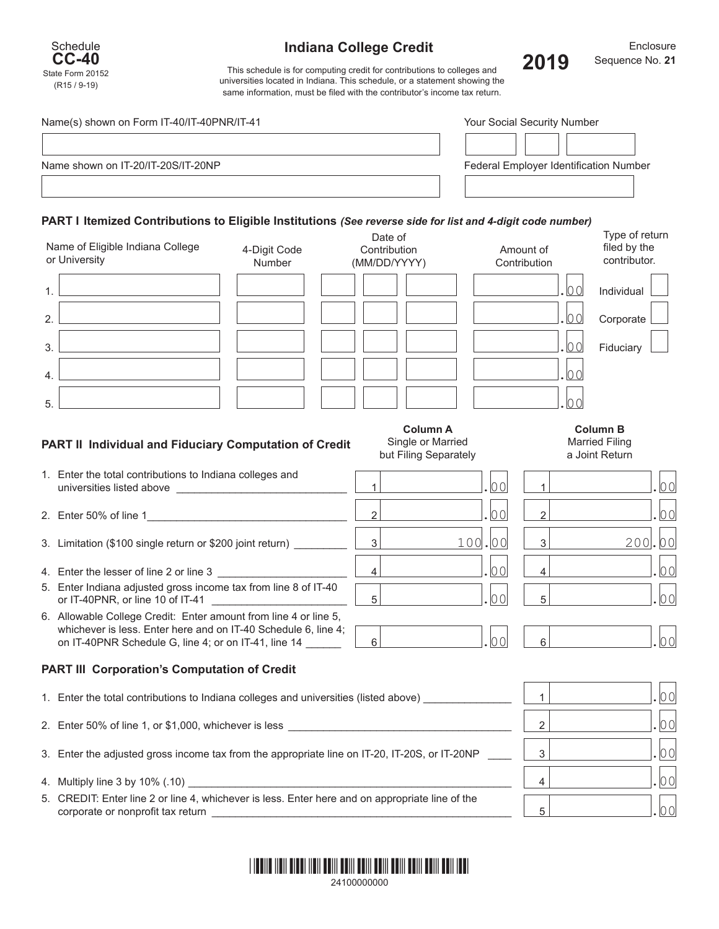

## **Indiana College Credit**



**Enclosure 2019** Sequence No.**<sup>21</sup>**

This schedule is for computing credit for contributions to colleges and universities located in Indiana. This schedule, or a statement showing the same information, must be filed with the contributor's income tax return.

|                                                                                                            | Name(s) shown on Form IT-40/IT-40PNR/IT-41 |              |                                        | Your Social Security Number |
|------------------------------------------------------------------------------------------------------------|--------------------------------------------|--------------|----------------------------------------|-----------------------------|
|                                                                                                            |                                            |              |                                        |                             |
| Name shown on IT-20/IT-20S/IT-20NP                                                                         |                                            |              | Federal Employer Identification Number |                             |
|                                                                                                            |                                            |              |                                        |                             |
|                                                                                                            |                                            |              |                                        |                             |
| PART I Itemized Contributions to Eligible Institutions (See reverse side for list and 4-digit code number) |                                            |              |                                        |                             |
|                                                                                                            |                                            |              |                                        |                             |
|                                                                                                            |                                            | Date of      |                                        | Type of return              |
| Name of Eligible Indiana College                                                                           | 4-Digit Code                               | Contribution | Amount of                              | filed by the                |
| or University                                                                                              | Number                                     | (MM/DD/YYYY) | Contribution                           | contributor.                |

| Individual |  |
|------------|--|
|            |  |

| Corporate |  |
|-----------|--|
|           |  |
|           |  |

| <b>Hiduciary</b> |  |
|------------------|--|

|    |  |  |  | $\cdot$ 0.0 | Individual |
|----|--|--|--|-------------|------------|
| 2. |  |  |  | .00         | Corporate  |
| 3. |  |  |  | .00         | Fiduciary  |
| 4. |  |  |  |             |            |
| 5. |  |  |  |             |            |

**Column A** Single or Married but Filing Separately

| <b>Column B</b>      |  |
|----------------------|--|
| <b>Married Filin</b> |  |
| $\sim$ Isint Datus   |  |

| <b>Married Filing</b><br>a Joint Return |  |
|-----------------------------------------|--|
|                                         |  |

 $\mathbf{r}$ 

| 1. Enter the total contributions to Indiana colleges and<br>universities listed above |  |  |
|---------------------------------------------------------------------------------------|--|--|
| 2. Enter 50% of line 1                                                                |  |  |

- 3. Limitation (\$100 single return or \$200 joint return) \_\_\_\_\_\_\_\_\_ 3 100.00 3 200.00
- 4. Enter the lesser of line 2 or line 3 \_\_\_\_\_\_\_\_\_\_\_\_\_\_\_\_\_\_\_\_\_\_ 4 .00 4 .00
- 5. Enter Indiana adjusted gross income tax from line 8 of IT-40 or IT-40PNR, or line 10 of IT-41 \_\_\_\_\_\_\_\_\_\_\_\_\_\_\_\_\_\_\_\_\_\_\_ 5 .00 5 .00

**PART II Individual and Fiduciary Computation of Credit**

6. Allowable College Credit: Enter amount from line 4 or line 5, whichever is less. Enter here and on IT-40 Schedule 6, line 4; on IT-40PNR Schedule G, line 4; or on IT-41, line 14 \_\_\_\_\_\_ 6 .00 6 .00

## **PART III Corporation's Computation of Credit**

| 1. Enter the total contributions to Indiana colleges and universities (listed above)                                                 |              |  |
|--------------------------------------------------------------------------------------------------------------------------------------|--------------|--|
| 2. Enter 50% of line 1, or \$1,000, whichever is less                                                                                | っ            |  |
| 3. Enter the adjusted gross income tax from the appropriate line on IT-20, IT-20S, or IT-20NP                                        | $\mathbf{z}$ |  |
|                                                                                                                                      |              |  |
| 5. CREDIT: Enter line 2 or line 4, whichever is less. Enter here and on appropriate line of the<br>corporate or nonprofit tax return | д            |  |